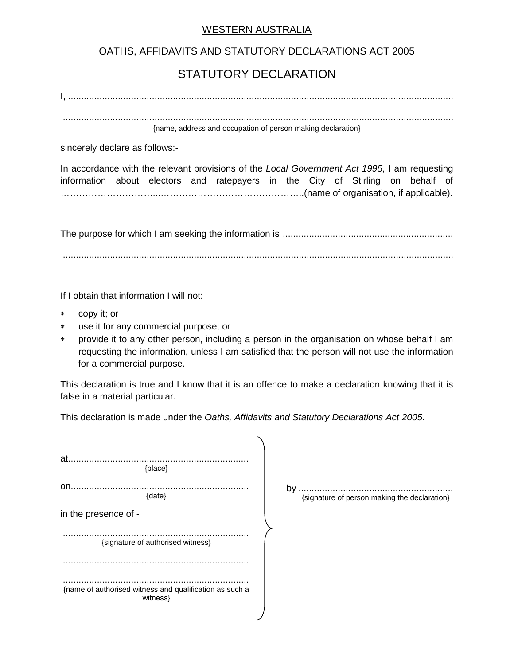## WESTERN AUSTRALIA

## OATHS, AFFIDAVITS AND STATUTORY DECLARATIONS ACT 2005

## STATUTORY DECLARATION

I, ...................................................................................................................................................

..................................................................................................................................................... {name, address and occupation of person making declaration}

sincerely declare as follows:-

In accordance with the relevant provisions of the *Local Government Act 1995*, I am requesting information about electors and ratepayers in the City of Stirling on behalf of …………………………...………………………………………..(name of organisation, if applicable).

The purpose for which I am seeking the information is ................................................................. .....................................................................................................................................................

If I obtain that information I will not:

- copy it; or
- ∗ use it for any commercial purpose; or
- provide it to any other person, including a person in the organisation on whose behalf I am requesting the information, unless I am satisfied that the person will not use the information for a commercial purpose.

This declaration is true and I know that it is an offence to make a declaration knowing that it is false in a material particular.

This declaration is made under the *Oaths, Affidavits and Statutory Declarations Act 2005*.

| by $\ldots$<br>{signature of person making the declaration} |
|-------------------------------------------------------------|
|                                                             |
|                                                             |
|                                                             |
|                                                             |
|                                                             |